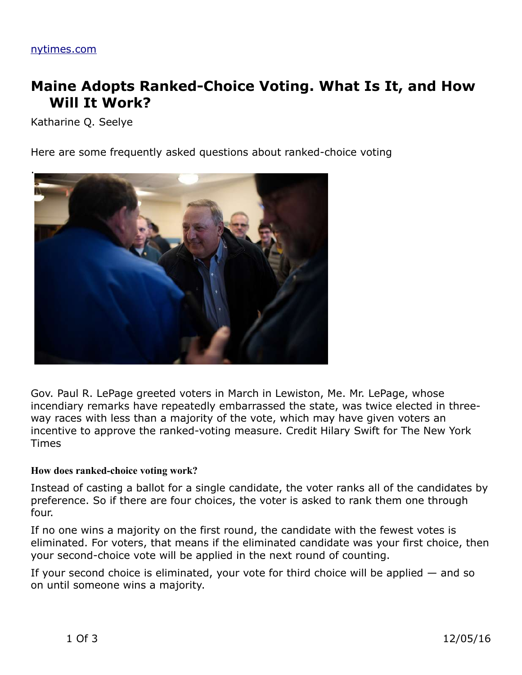# **Maine Adopts Ranked-Choice Voting. What Is It, and How Will It Work?**

Katharine Q. Seelye

Here are some frequently asked questions about ranked-choice voting



Gov. Paul R. LePage greeted voters in March in Lewiston, Me. Mr. LePage, whose incendiary remarks have repeatedly embarrassed the state, was twice elected in threeway races with less than a majority of the vote, which may have given voters an incentive to approve the ranked-voting measure. Credit Hilary Swift for The New York Times

#### **How does ranked-choice voting work?**

Instead of casting a ballot for a single candidate, the voter ranks all of the candidates by preference. So if there are four choices, the voter is asked to rank them one through four.

If no one wins a majority on the first round, the candidate with the fewest votes is eliminated. For voters, that means if the eliminated candidate was your first choice, then your second-choice vote will be applied in the next round of counting.

If your second choice is eliminated, your vote for third choice will be applied — and so on until someone wins a majority.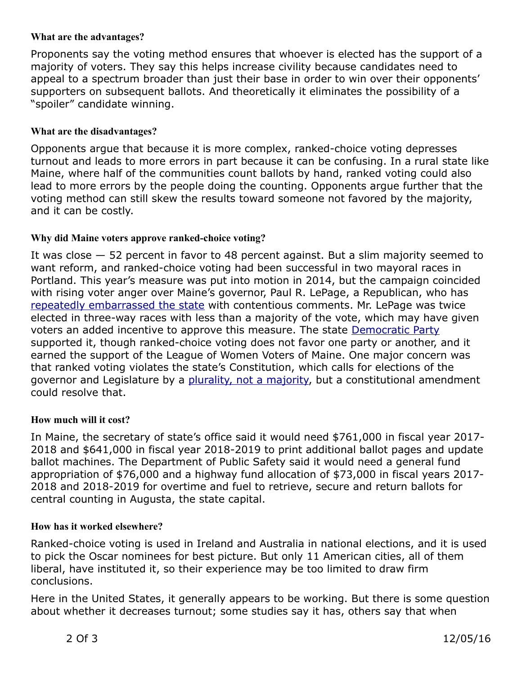## **What are the advantages?**

Proponents say the voting method ensures that whoever is elected has the support of a majority of voters. They say this helps increase civility because candidates need to appeal to a spectrum broader than just their base in order to win over their opponents' supporters on subsequent ballots. And theoretically it eliminates the possibility of a "spoiler" candidate winning.

## **What are the disadvantages?**

Opponents argue that because it is more complex, ranked-choice voting depresses turnout and leads to more errors in part because it can be confusing. In a rural state like Maine, where half of the communities count ballots by hand, ranked voting could also lead to more errors by the people doing the counting. Opponents argue further that the voting method can still skew the results toward someone not favored by the majority, and it can be costly.

## **Why did Maine voters approve ranked-choice voting?**

It was close — 52 percent in favor to 48 percent against. But a slim majority seemed to want reform, and ranked-choice voting had been successful in two mayoral races in Portland. This year's measure was put into motion in 2014, but the campaign coincided with rising voter anger over Maine's governor, Paul R. LePage, a Republican, who has [repeatedly embarrassed the state](http://www.nytimes.com/2016/08/30/us/controversial-gov-paul-lepage-maine-list.html) with contentious comments. Mr. LePage was twice elected in three-way races with less than a majority of the vote, which may have given voters an added incentive to approve this measure. The state [Democratic Party](http://topics.nytimes.com/top/reference/timestopics/organizations/d/democratic_party/index.html?inline=nyt-org) supported it, though ranked-choice voting does not favor one party or another, and it earned the support of the League of Women Voters of Maine. One major concern was that ranked voting violates the state's Constitution, which calls for elections of the governor and Legislature by a [plurality, not a majority,](https://fairvote.app.box.com/v/RCV-Maine-Legal-Analysis) but a constitutional amendment could resolve that.

#### **How much will it cost?**

In Maine, the secretary of state's office said it would need \$761,000 in fiscal year 2017- 2018 and \$641,000 in fiscal year 2018-2019 to print additional ballot pages and update ballot machines. The Department of Public Safety said it would need a general fund appropriation of \$76,000 and a highway fund allocation of \$73,000 in fiscal years 2017- 2018 and 2018-2019 for overtime and fuel to retrieve, secure and return ballots for central counting in Augusta, the state capital.

#### **How has it worked elsewhere?**

Ranked-choice voting is used in Ireland and Australia in national elections, and it is used to pick the Oscar nominees for best picture. But only 11 American cities, all of them liberal, have instituted it, so their experience may be too limited to draw firm conclusions.

Here in the United States, it generally appears to be working. But there is some question about whether it decreases turnout; some studies say it has, others say that when